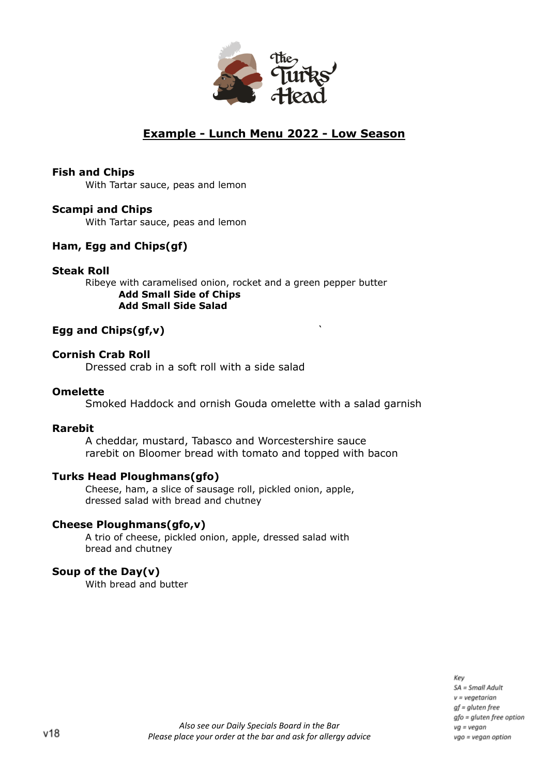

## **Example - Lunch Menu 2022 - Low Season**

### **Fish and Chips**

With Tartar sauce, peas and lemon

### **Scampi and Chips**

With Tartar sauce, peas and lemon

## **Ham, Egg and Chips(gf)**

### **Steak Roll**

Ribeye with caramelised onion, rocket and a green pepper butter **Add Small Side of Chips Add Small Side Salad**

## **Egg and Chips(gf,v)** `

### **Cornish Crab Roll**

Dressed crab in a soft roll with a side salad

### **Omelette**

Smoked Haddock and ornish Gouda omelette with a salad garnish

### **Rarebit**

A cheddar, mustard, Tabasco and Worcestershire sauce rarebit on Bloomer bread with tomato and topped with bacon

## **Turks Head Ploughmans(gfo)**

Cheese, ham, a slice of sausage roll, pickled onion, apple, dressed salad with bread and chutney

### **Cheese Ploughmans(gfo,v)**

A trio of cheese, pickled onion, apple, dressed salad with bread and chutney

### **Soup of the Day(v)**

With bread and butter